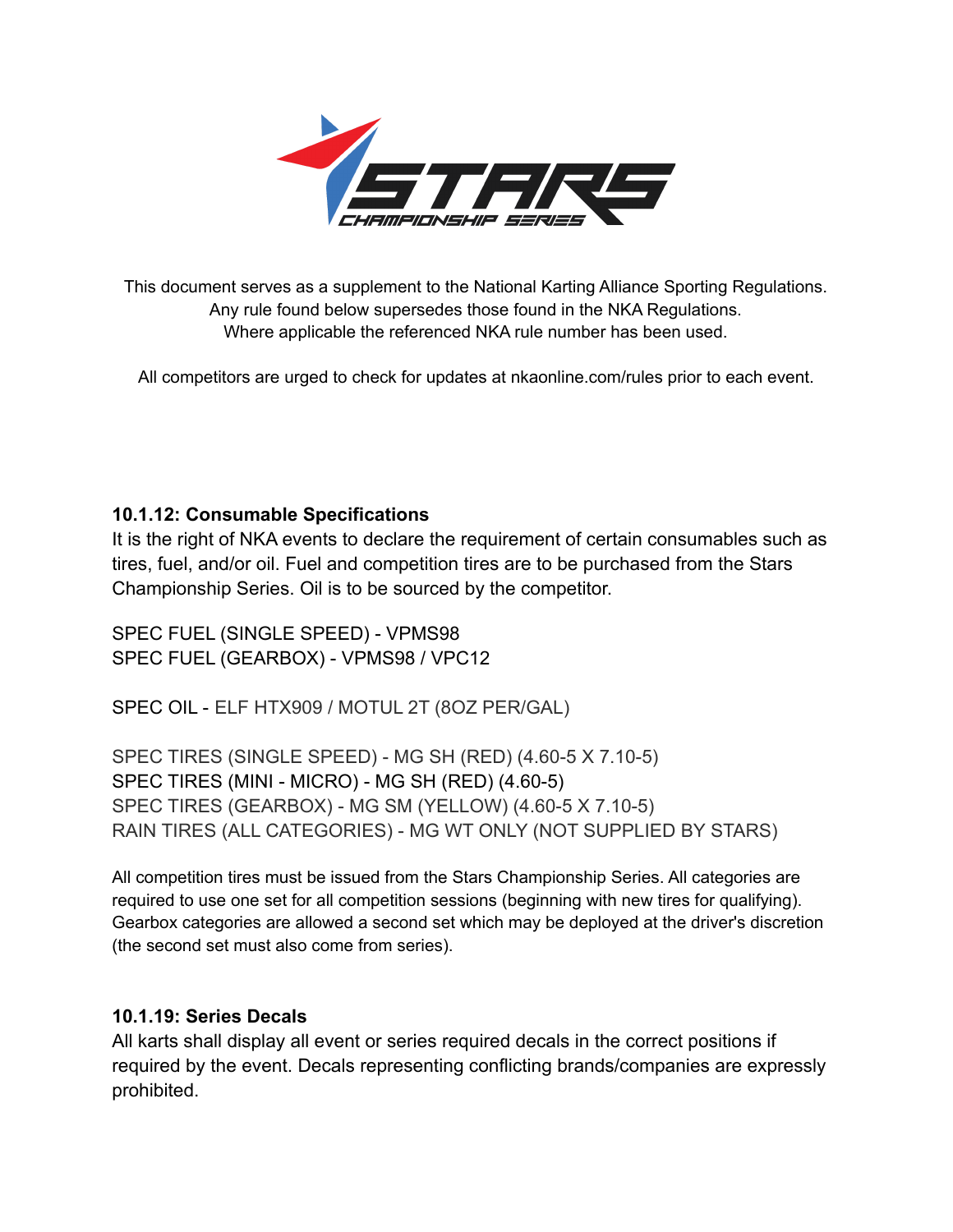

This document serves as a supplement to the National Karting Alliance Sporting Regulations. Any rule found below supersedes those found in the NKA Regulations. Where applicable the referenced NKA rule number has been used.

All competitors are urged to check for updates at nkaonline.com/rules prior to each event.

## **10.1.12: Consumable Specifications**

It is the right of NKA events to declare the requirement of certain consumables such as tires, fuel, and/or oil. Fuel and competition tires are to be purchased from the Stars Championship Series. Oil is to be sourced by the competitor.

SPEC FUEL (SINGLE SPEED) - VPMS98 SPEC FUEL (GEARBOX) - VPMS98 / VPC12

SPEC OIL - ELF HTX909 / MOTUL 2T (8OZ PER/GAL)

SPEC TIRES (SINGLE SPEED) - MG SH (RED) (4.60-5 X 7.10-5) SPEC TIRES (MINI - MICRO) - MG SH (RED) (4.60-5) SPEC TIRES (GEARBOX) - MG SM (YELLOW) (4.60-5 X 7.10-5) RAIN TIRES (ALL CATEGORIES) - MG WT ONLY (NOT SUPPLIED BY STARS)

All competition tires must be issued from the Stars Championship Series. All categories are required to use one set for all competition sessions (beginning with new tires for qualifying). Gearbox categories are allowed a second set which may be deployed at the driver's discretion (the second set must also come from series).

## **10.1.19: Series Decals**

All karts shall display all event or series required decals in the correct positions if required by the event. Decals representing conflicting brands/companies are expressly prohibited.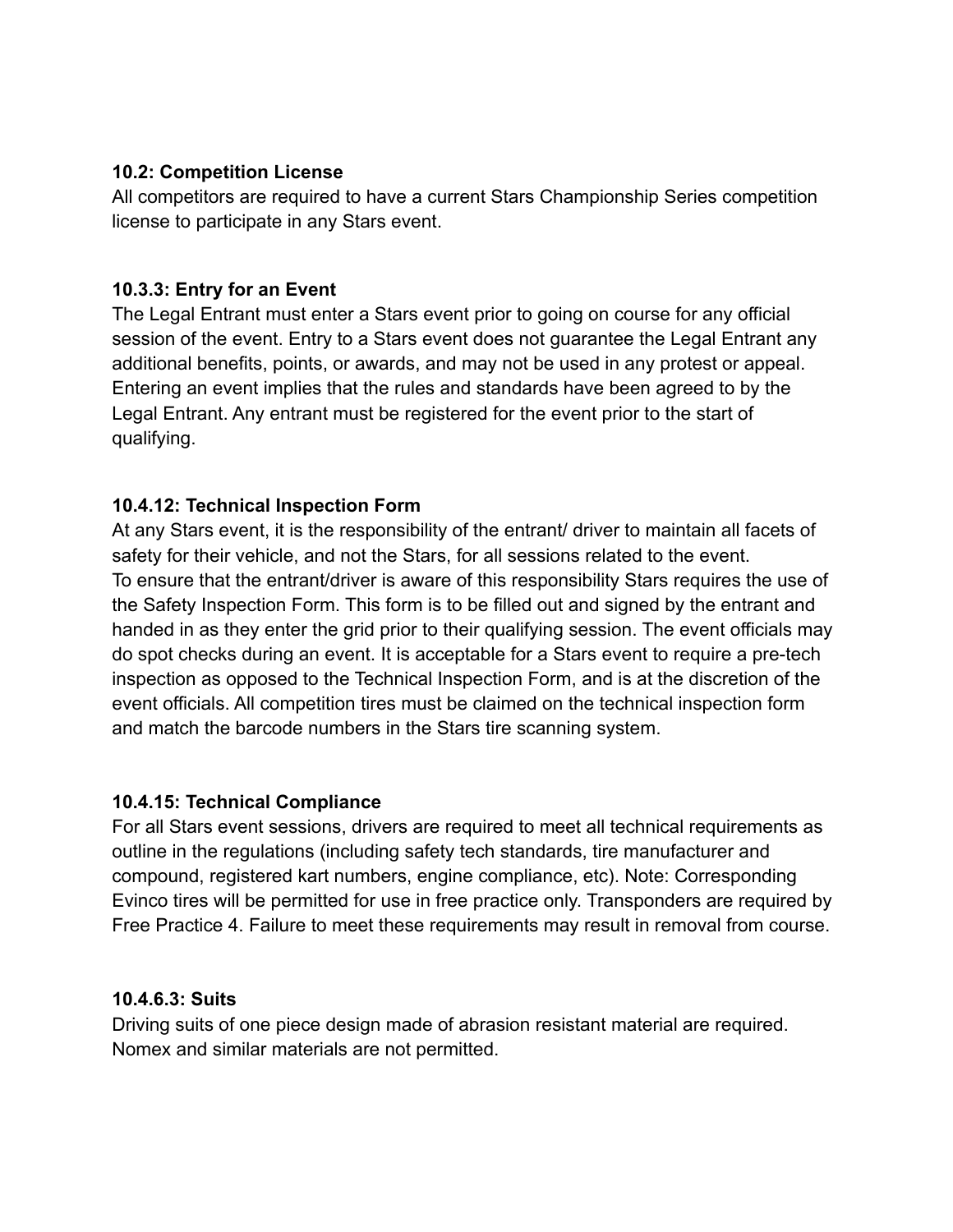#### **10.2: Competition License**

All competitors are required to have a current Stars Championship Series competition license to participate in any Stars event.

#### **10.3.3: Entry for an Event**

The Legal Entrant must enter a Stars event prior to going on course for any official session of the event. Entry to a Stars event does not guarantee the Legal Entrant any additional benefits, points, or awards, and may not be used in any protest or appeal. Entering an event implies that the rules and standards have been agreed to by the Legal Entrant. Any entrant must be registered for the event prior to the start of qualifying.

## **10.4.12: Technical Inspection Form**

At any Stars event, it is the responsibility of the entrant/ driver to maintain all facets of safety for their vehicle, and not the Stars, for all sessions related to the event. To ensure that the entrant/driver is aware of this responsibility Stars requires the use of the Safety Inspection Form. This form is to be filled out and signed by the entrant and handed in as they enter the grid prior to their qualifying session. The event officials may do spot checks during an event. It is acceptable for a Stars event to require a pre-tech inspection as opposed to the Technical Inspection Form, and is at the discretion of the event officials. All competition tires must be claimed on the technical inspection form and match the barcode numbers in the Stars tire scanning system.

#### **10.4.15: Technical Compliance**

For all Stars event sessions, drivers are required to meet all technical requirements as outline in the regulations (including safety tech standards, tire manufacturer and compound, registered kart numbers, engine compliance, etc). Note: Corresponding Evinco tires will be permitted for use in free practice only. Transponders are required by Free Practice 4. Failure to meet these requirements may result in removal from course.

#### **10.4.6.3: Suits**

Driving suits of one piece design made of abrasion resistant material are required. Nomex and similar materials are not permitted.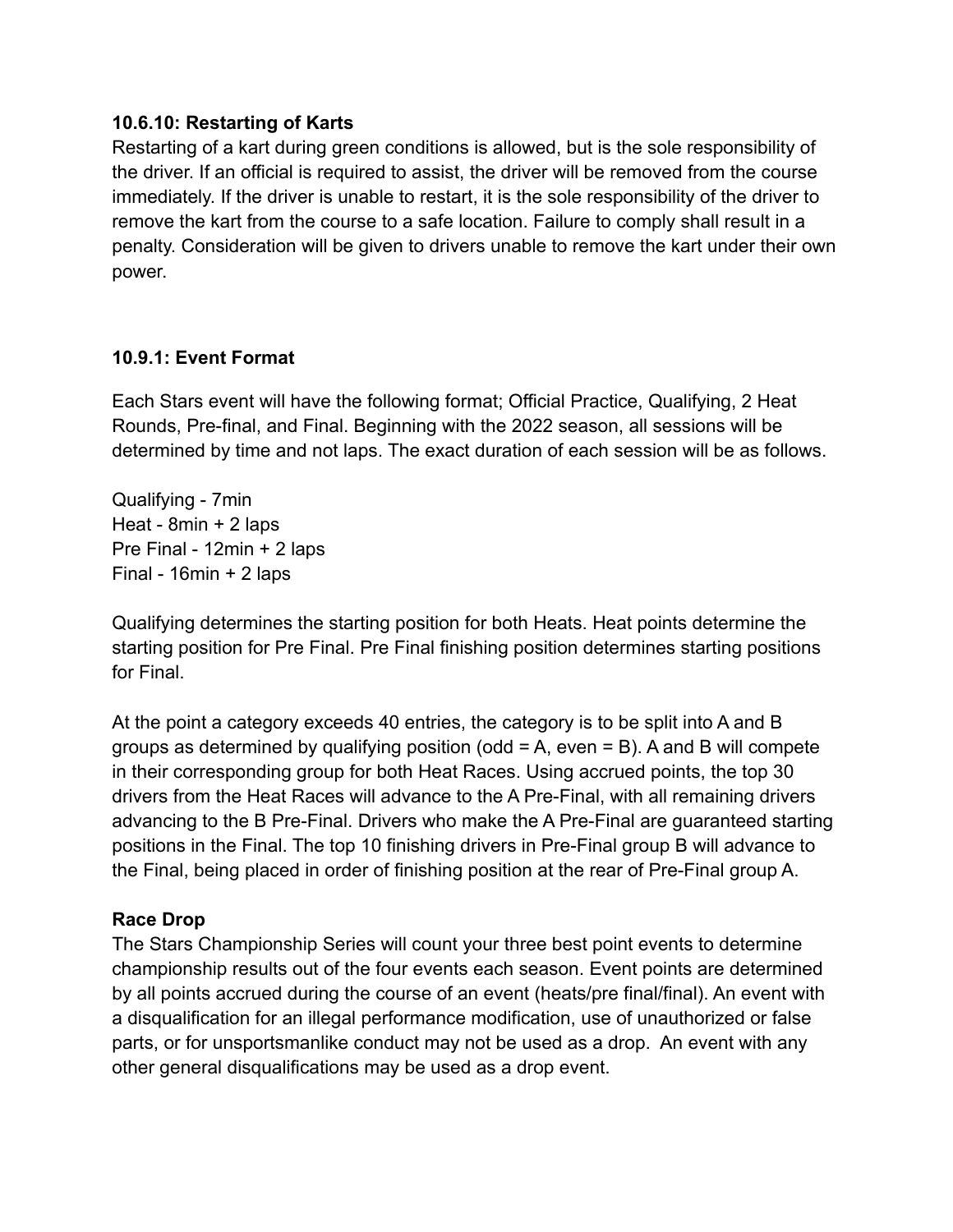#### **10.6.10: Restarting of Karts**

Restarting of a kart during green conditions is allowed, but is the sole responsibility of the driver. If an official is required to assist, the driver will be removed from the course immediately. If the driver is unable to restart, it is the sole responsibility of the driver to remove the kart from the course to a safe location. Failure to comply shall result in a penalty. Consideration will be given to drivers unable to remove the kart under their own power.

## **10.9.1: Event Format**

Each Stars event will have the following format; Official Practice, Qualifying, 2 Heat Rounds, Pre-final, and Final. Beginning with the 2022 season, all sessions will be determined by time and not laps. The exact duration of each session will be as follows.

Qualifying - 7min Heat - 8min + 2 laps Pre Final - 12min + 2 laps Final - 16min + 2 laps

Qualifying determines the starting position for both Heats. Heat points determine the starting position for Pre Final. Pre Final finishing position determines starting positions for Final.

At the point a category exceeds 40 entries, the category is to be split into A and B groups as determined by qualifying position (odd  $= A$ , even  $= B$ ). A and B will compete in their corresponding group for both Heat Races. Using accrued points, the top 30 drivers from the Heat Races will advance to the A Pre-Final, with all remaining drivers advancing to the B Pre-Final. Drivers who make the A Pre-Final are guaranteed starting positions in the Final. The top 10 finishing drivers in Pre-Final group B will advance to the Final, being placed in order of finishing position at the rear of Pre-Final group A.

## **Race Drop**

The Stars Championship Series will count your three best point events to determine championship results out of the four events each season. Event points are determined by all points accrued during the course of an event (heats/pre final/final). An event with a disqualification for an illegal performance modification, use of unauthorized or false parts, or for unsportsmanlike conduct may not be used as a drop. An event with any other general disqualifications may be used as a drop event.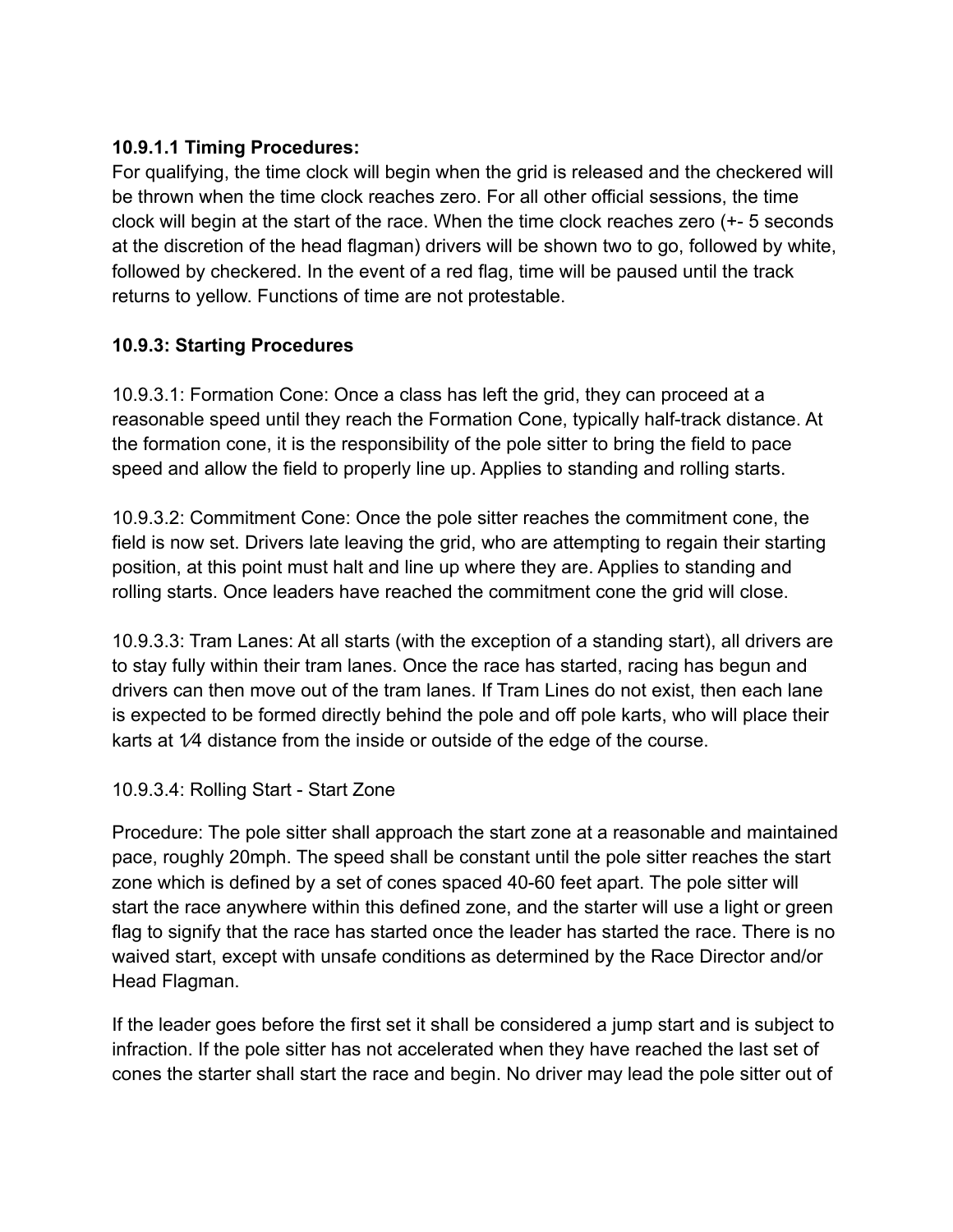# **10.9.1.1 Timing Procedures:**

For qualifying, the time clock will begin when the grid is released and the checkered will be thrown when the time clock reaches zero. For all other official sessions, the time clock will begin at the start of the race. When the time clock reaches zero (+- 5 seconds at the discretion of the head flagman) drivers will be shown two to go, followed by white, followed by checkered. In the event of a red flag, time will be paused until the track returns to yellow. Functions of time are not protestable.

# **10.9.3: Starting Procedures**

10.9.3.1: Formation Cone: Once a class has left the grid, they can proceed at a reasonable speed until they reach the Formation Cone, typically half-track distance. At the formation cone, it is the responsibility of the pole sitter to bring the field to pace speed and allow the field to properly line up. Applies to standing and rolling starts.

10.9.3.2: Commitment Cone: Once the pole sitter reaches the commitment cone, the field is now set. Drivers late leaving the grid, who are attempting to regain their starting position, at this point must halt and line up where they are. Applies to standing and rolling starts. Once leaders have reached the commitment cone the grid will close.

10.9.3.3: Tram Lanes: At all starts (with the exception of a standing start), all drivers are to stay fully within their tram lanes. Once the race has started, racing has begun and drivers can then move out of the tram lanes. If Tram Lines do not exist, then each lane is expected to be formed directly behind the pole and off pole karts, who will place their karts at 1⁄4 distance from the inside or outside of the edge of the course.

## 10.9.3.4: Rolling Start - Start Zone

Procedure: The pole sitter shall approach the start zone at a reasonable and maintained pace, roughly 20mph. The speed shall be constant until the pole sitter reaches the start zone which is defined by a set of cones spaced 40-60 feet apart. The pole sitter will start the race anywhere within this defined zone, and the starter will use a light or green flag to signify that the race has started once the leader has started the race. There is no waived start, except with unsafe conditions as determined by the Race Director and/or Head Flagman.

If the leader goes before the first set it shall be considered a jump start and is subject to infraction. If the pole sitter has not accelerated when they have reached the last set of cones the starter shall start the race and begin. No driver may lead the pole sitter out of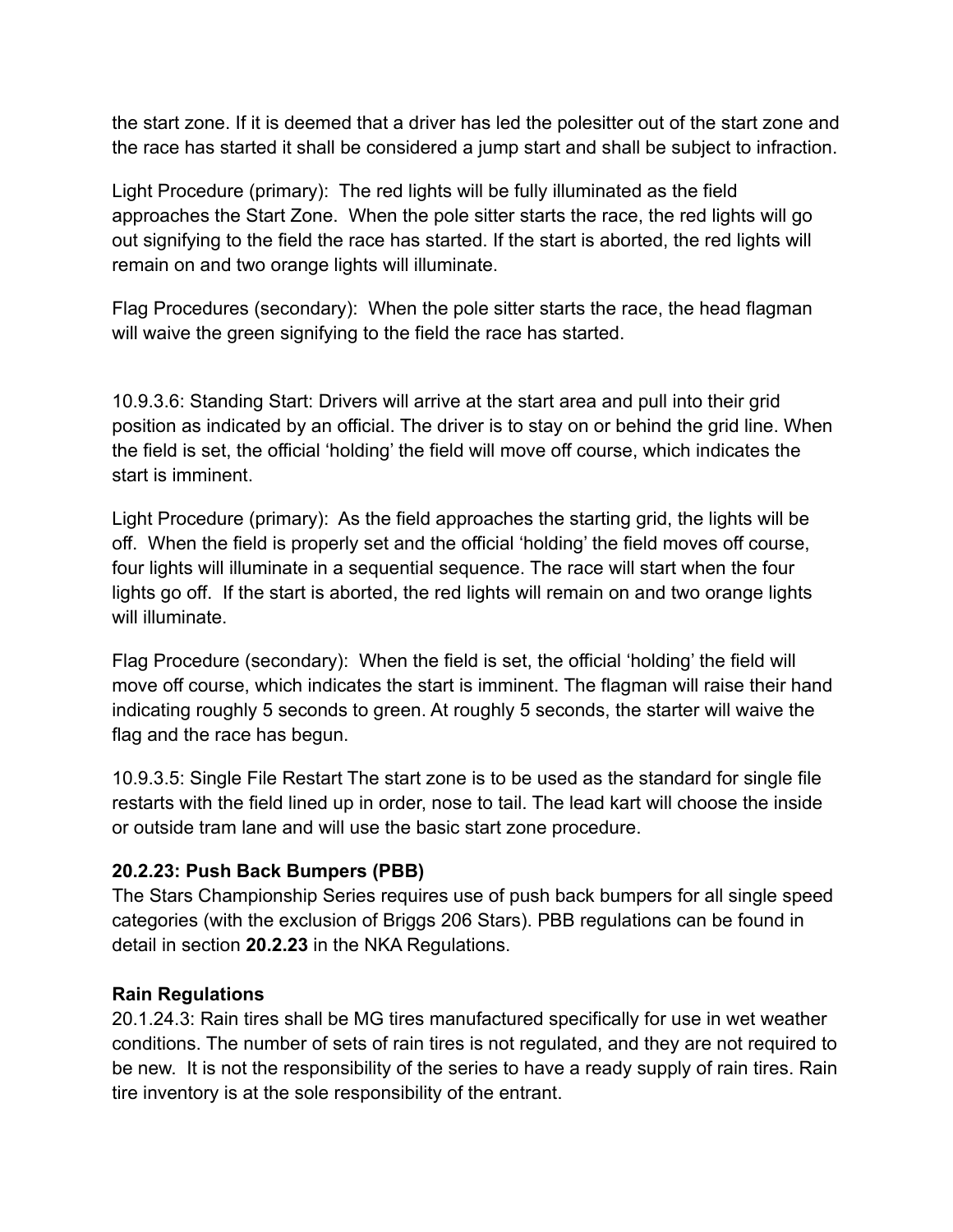the start zone. If it is deemed that a driver has led the polesitter out of the start zone and the race has started it shall be considered a jump start and shall be subject to infraction.

Light Procedure (primary): The red lights will be fully illuminated as the field approaches the Start Zone. When the pole sitter starts the race, the red lights will go out signifying to the field the race has started. If the start is aborted, the red lights will remain on and two orange lights will illuminate.

Flag Procedures (secondary): When the pole sitter starts the race, the head flagman will waive the green signifying to the field the race has started.

10.9.3.6: Standing Start: Drivers will arrive at the start area and pull into their grid position as indicated by an official. The driver is to stay on or behind the grid line. When the field is set, the official 'holding' the field will move off course, which indicates the start is imminent.

Light Procedure (primary): As the field approaches the starting grid, the lights will be off. When the field is properly set and the official 'holding' the field moves off course, four lights will illuminate in a sequential sequence. The race will start when the four lights go off. If the start is aborted, the red lights will remain on and two orange lights will illuminate.

Flag Procedure (secondary): When the field is set, the official 'holding' the field will move off course, which indicates the start is imminent. The flagman will raise their hand indicating roughly 5 seconds to green. At roughly 5 seconds, the starter will waive the flag and the race has begun.

10.9.3.5: Single File Restart The start zone is to be used as the standard for single file restarts with the field lined up in order, nose to tail. The lead kart will choose the inside or outside tram lane and will use the basic start zone procedure.

## **20.2.23: Push Back Bumpers (PBB)**

The Stars Championship Series requires use of push back bumpers for all single speed categories (with the exclusion of Briggs 206 Stars). PBB regulations can be found in detail in section **20.2.23** in the NKA Regulations.

# **Rain Regulations**

20.1.24.3: Rain tires shall be MG tires manufactured specifically for use in wet weather conditions. The number of sets of rain tires is not regulated, and they are not required to be new. It is not the responsibility of the series to have a ready supply of rain tires. Rain tire inventory is at the sole responsibility of the entrant.